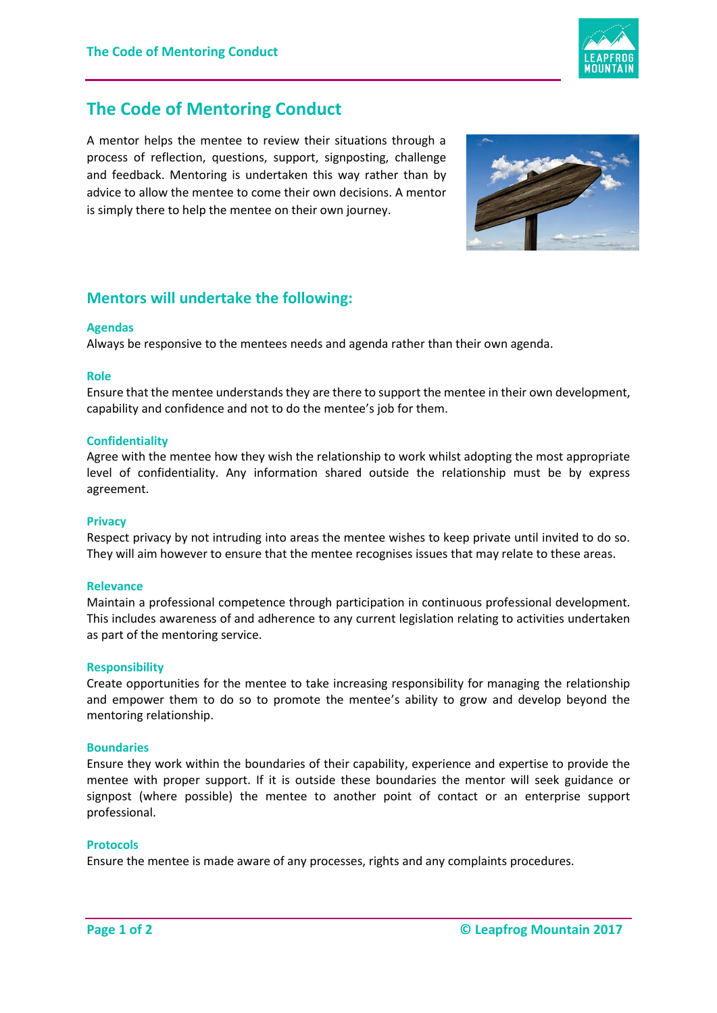

# **The Code of Mentoring Conduct**

A mentor helps the mentee to review their situations through a process of reflection, questions, support, signposting, challenge and feedback. Mentoring is undertaken this way rather than by advice to allow the mentee to come their own decisions. A mentor is simply there to help the mentee on their own journey.



## **Mentors will undertake the following:**

## **Agendas**

Always be responsive to the mentees needs and agenda rather than their own agenda.

#### **Role**

Ensure that the mentee understands they are there to support the mentee in their own development, capability and confidence and not to do the mentee's job for them.

#### **Confidentiality**

Agree with the mentee how they wish the relationship to work whilst adopting the most appropriate level of confidentiality. Any information shared outside the relationship must be by express agreement.

#### **Privacy**

Respect privacy by not intruding into areas the mentee wishes to keep private until invited to do so. They will aim however to ensure that the mentee recognises issues that may relate to these areas.

#### **Relevance**

Maintain a professional competence through participation in continuous professional development. This includes awareness of and adherence to any current legislation relating to activities undertaken as part of the mentoring service.

## **Responsibility**

Create opportunities for the mentee to take increasing responsibility for managing the relationship and empower them to do so to promote the mentee's ability to grow and develop beyond the mentoring relationship.

#### **Boundaries**

Ensure they work within the boundaries of their capability, experience and expertise to provide the mentee with proper support. If it is outside these boundaries the mentor will seek guidance or signpost (where possible) the mentee to another point of contact or an enterprise support professional.

#### **Protocols**

Ensure the mentee is made aware of any processes, rights and any complaints procedures.